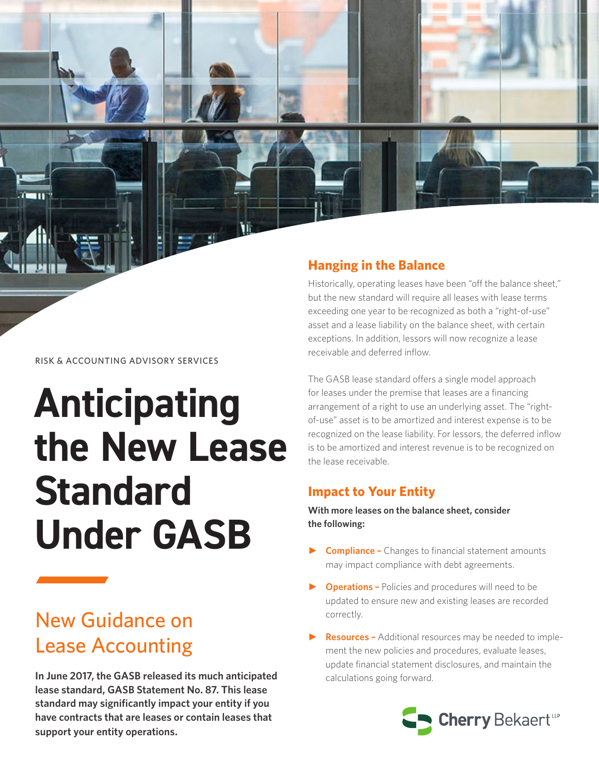

# **Anticipating the New Lease Standard Under GASB**

## New Guidance on Lease Accounting

**In June 2017, the GASB released its much anticipated lease standard, GASB Statement No. 87. This lease standard may significantly impact your entity if you have contracts that are leases or contain leases that support your entity operations.**

#### **Hanging in the Balance**

Historically, operating leases have been "off the balance sheet," but the new standard will require all leases with lease terms exceeding one year to be recognized as both a "right-of-use" asset and a lease liability on the balance sheet, with certain exceptions. In addition, lessors will now recognize a lease receivable and deferred inflow.

The GASB lease standard offers a single model approach for leases under the premise that leases are a financing arrangement of a right to use an underlying asset. The "rightof-use" asset is to be amortized and interest expense is to be recognized on the lease liability. For lessors, the deferred inflow is to be amortized and interest revenue is to be recognized on the lease receivable.

#### **Impact to Your Entity**

**With more leases on the balance sheet, consider the following:** 

- ► **Compliance –** Changes to financial statement amounts may impact compliance with debt agreements.
- **Operations -** Policies and procedures will need to be updated to ensure new and existing leases are recorded correctly.
- ► **Resources** Additional resources may be needed to implement the new policies and procedures, evaluate leases, update financial statement disclosures, and maintain the calculations going forward.